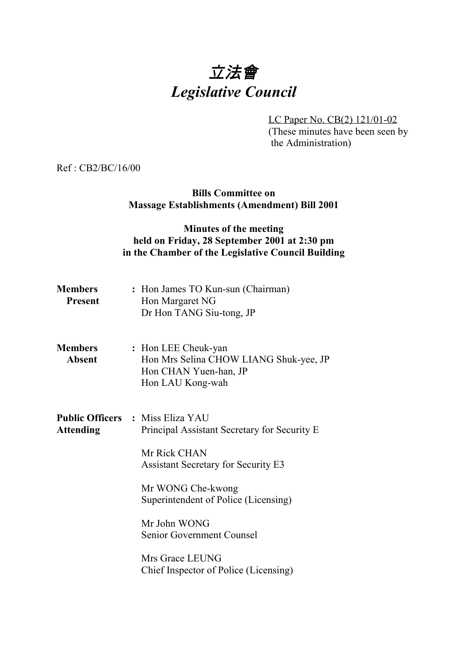# 立法會 *Legislative Council*

LC Paper No. CB(2) 121/01-02 (These minutes have been seen by the Administration)

Ref : CB2/BC/16/00

## **Bills Committee on Massage Establishments (Amendment) Bill 2001**

## **Minutes of the meeting held on Friday, 28 September 2001 at 2:30 pm in the Chamber of the Legislative Council Building**

| <b>Members</b><br><b>Present</b> | : Hon James TO Kun-sun (Chairman)<br>Hon Margaret NG<br>Dr Hon TANG Siu-tong, JP                           |
|----------------------------------|------------------------------------------------------------------------------------------------------------|
| <b>Members</b><br><b>Absent</b>  | : Hon LEE Cheuk-yan<br>Hon Mrs Selina CHOW LIANG Shuk-yee, JP<br>Hon CHAN Yuen-han, JP<br>Hon LAU Kong-wah |
| <b>Attending</b>                 | <b>Public Officers : Miss Eliza YAU</b><br>Principal Assistant Secretary for Security E.                   |
|                                  | Mr Rick CHAN<br><b>Assistant Secretary for Security E3</b>                                                 |
|                                  | Mr WONG Che-kwong<br>Superintendent of Police (Licensing)                                                  |
|                                  | Mr John WONG<br>Senior Government Counsel                                                                  |
|                                  | Mrs Grace LEUNG<br>Chief Inspector of Police (Licensing)                                                   |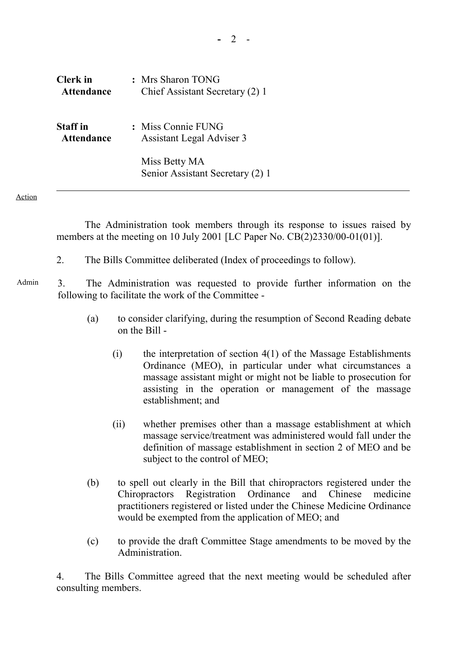| <b>Clerk</b> in   | : Mrs Sharon TONG                                 |
|-------------------|---------------------------------------------------|
| <b>Attendance</b> | Chief Assistant Secretary (2) 1                   |
| <b>Staff</b> in   | : Miss Connie FUNG                                |
| <b>Attendance</b> | Assistant Legal Adviser 3                         |
|                   | Miss Betty MA<br>Senior Assistant Secretary (2) 1 |

Action

1 The Administration took members through its response to issues raised by members at the meeting on 10 July 2001 [LC Paper No. CB(2)2330/00-01(01)].

- 2. The Bills Committee deliberated (Index of proceedings to follow).
- Admin 3. The Administration was requested to provide further information on the following to facilitate the work of the Committee -
	- (a) to consider clarifying, during the resumption of Second Reading debate on the Bill -
		- (i) the interpretation of section 4(1) of the Massage Establishments Ordinance (MEO), in particular under what circumstances a massage assistant might or might not be liable to prosecution for assisting in the operation or management of the massage establishment; and
		- (ii) whether premises other than a massage establishment at which massage service/treatment was administered would fall under the definition of massage establishment in section 2 of MEO and be subject to the control of MEO;
	- (b) to spell out clearly in the Bill that chiropractors registered under the Chiropractors Registration Ordinance and Chinese medicine practitioners registered or listed under the Chinese Medicine Ordinance would be exempted from the application of MEO; and
	- (c) to provide the draft Committee Stage amendments to be moved by the Administration.

4. The Bills Committee agreed that the next meeting would be scheduled after consulting members.

**-** 2 -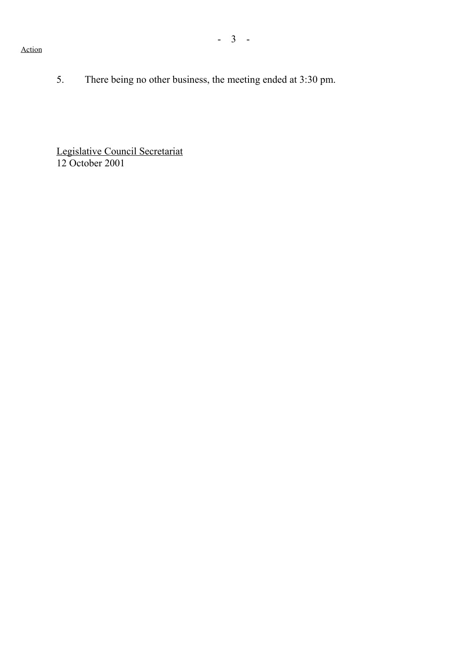- 3 -

#### Action

5. There being no other business, the meeting ended at 3:30 pm.

Legislative Council Secretariat 12 October 2001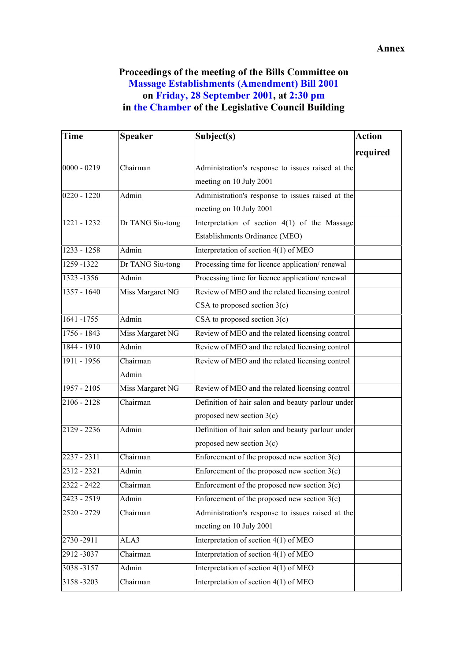## **Proceedings of the meeting of the Bills Committee on Massage Establishments (Amendment) Bill 2001 on Friday, 28 September 2001, at 2:30 pm in the Chamber of the Legislative Council Building**

| <b>Time</b>   | <b>Speaker</b>   | Subject(s)                                        | <b>Action</b> |
|---------------|------------------|---------------------------------------------------|---------------|
|               |                  |                                                   | required      |
| $0000 - 0219$ | Chairman         | Administration's response to issues raised at the |               |
|               |                  | meeting on 10 July 2001                           |               |
| $0220 - 1220$ | Admin            | Administration's response to issues raised at the |               |
|               |                  | meeting on 10 July 2001                           |               |
| $1221 - 1232$ | Dr TANG Siu-tong | Interpretation of section 4(1) of the Massage     |               |
|               |                  | Establishments Ordinance (MEO)                    |               |
| $1233 - 1258$ | Admin            | Interpretation of section 4(1) of MEO             |               |
| 1259 - 1322   | Dr TANG Siu-tong | Processing time for licence application/renewal   |               |
| 1323 -1356    | Admin            | Processing time for licence application/renewal   |               |
| $1357 - 1640$ | Miss Margaret NG | Review of MEO and the related licensing control   |               |
|               |                  | CSA to proposed section $3(c)$                    |               |
| 1641-1755     | <b>Admin</b>     | CSA to proposed section $3(c)$                    |               |
| $1756 - 1843$ | Miss Margaret NG | Review of MEO and the related licensing control   |               |
| 1844 - 1910   | Admin            | Review of MEO and the related licensing control   |               |
| 1911 - 1956   | Chairman         | Review of MEO and the related licensing control   |               |
|               | Admin            |                                                   |               |
| 1957 - 2105   | Miss Margaret NG | Review of MEO and the related licensing control   |               |
| $2106 - 2128$ | Chairman         | Definition of hair salon and beauty parlour under |               |
|               |                  | proposed new section $3(c)$                       |               |
| $2129 - 2236$ | <b>Admin</b>     | Definition of hair salon and beauty parlour under |               |
|               |                  | proposed new section $3(c)$                       |               |
| $2237 - 2311$ | Chairman         | Enforcement of the proposed new section $3(c)$    |               |
| 2312 - 2321   | Admin            | Enforcement of the proposed new section $3(c)$    |               |
| 2322 - 2422   | Chairman         | Enforcement of the proposed new section $3(c)$    |               |
| 2423 - 2519   | Admin            | Enforcement of the proposed new section $3(c)$    |               |
| 2520 - 2729   | Chairman         | Administration's response to issues raised at the |               |
|               |                  | meeting on 10 July 2001                           |               |
| 2730 - 2911   | ALA3             | Interpretation of section 4(1) of MEO             |               |
| 2912-3037     | Chairman         | Interpretation of section 4(1) of MEO             |               |
| 3038-3157     | Admin            | Interpretation of section 4(1) of MEO             |               |
| 3158-3203     | Chairman         | Interpretation of section $4(1)$ of MEO           |               |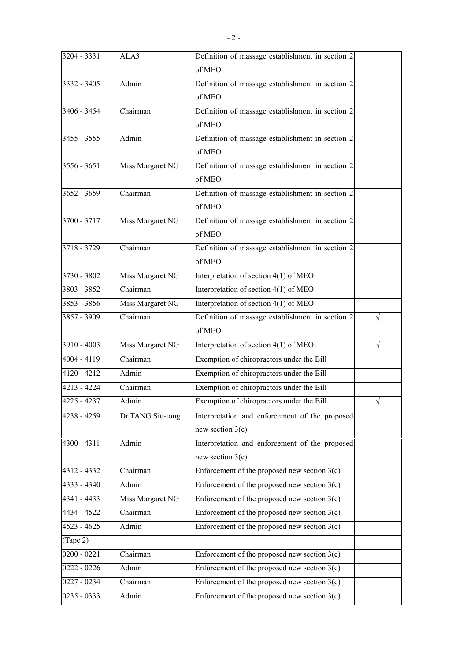| $3204 - 3331$ | ALA3             | Definition of massage establishment in section 2 |           |
|---------------|------------------|--------------------------------------------------|-----------|
|               |                  | of MEO                                           |           |
| $3332 - 3405$ | Admin            | Definition of massage establishment in section 2 |           |
|               |                  | of MEO                                           |           |
| $3406 - 3454$ | Chairman         | Definition of massage establishment in section 2 |           |
|               |                  | of MEO                                           |           |
| $3455 - 3555$ | Admin            | Definition of massage establishment in section 2 |           |
|               |                  | of MEO                                           |           |
| $3556 - 3651$ | Miss Margaret NG | Definition of massage establishment in section 2 |           |
|               |                  | of MEO                                           |           |
| $3652 - 3659$ | Chairman         | Definition of massage establishment in section 2 |           |
|               |                  | of MEO                                           |           |
| $3700 - 3717$ | Miss Margaret NG | Definition of massage establishment in section 2 |           |
|               |                  | of MEO                                           |           |
| $3718 - 3729$ | Chairman         | Definition of massage establishment in section 2 |           |
|               |                  | of MEO                                           |           |
| $3730 - 3802$ | Miss Margaret NG | Interpretation of section 4(1) of MEO            |           |
| $3803 - 3852$ | Chairman         | Interpretation of section 4(1) of MEO            |           |
| $3853 - 3856$ | Miss Margaret NG | Interpretation of section 4(1) of MEO            |           |
| $3857 - 3909$ | Chairman         | Definition of massage establishment in section 2 | $\sqrt{}$ |
|               |                  | of MEO                                           |           |
| $3910 - 4003$ | Miss Margaret NG | Interpretation of section 4(1) of MEO            | $\sqrt{}$ |
| $4004 - 4119$ | Chairman         | Exemption of chiropractors under the Bill        |           |
| 4120 - 4212   | Admin            | Exemption of chiropractors under the Bill        |           |
| 4213 - 4224   | Chairman         | Exemption of chiropractors under the Bill        |           |
| 4225 - 4237   | Admin            | Exemption of chiropractors under the Bill        |           |
| 4238 - 4259   | Dr TANG Siu-tong | Interpretation and enforcement of the proposed   |           |
|               |                  | new section $3(c)$                               |           |
| 4300 - 4311   | Admin            | Interpretation and enforcement of the proposed   |           |
|               |                  | new section $3(c)$                               |           |
| 4312 - 4332   | Chairman         | Enforcement of the proposed new section $3(c)$   |           |
| 4333 - 4340   | Admin            | Enforcement of the proposed new section $3(c)$   |           |
| 4341 - 4433   | Miss Margaret NG | Enforcement of the proposed new section $3(c)$   |           |
| 4434 - 4522   | Chairman         | Enforcement of the proposed new section $3(c)$   |           |
| 4523 - 4625   | Admin            | Enforcement of the proposed new section $3(c)$   |           |
| (Tape 2)      |                  |                                                  |           |
| $0200 - 0221$ | Chairman         | Enforcement of the proposed new section $3(c)$   |           |
| $0222 - 0226$ | Admin            | Enforcement of the proposed new section $3(c)$   |           |
| 0227 - 0234   | Chairman         | Enforcement of the proposed new section $3(c)$   |           |
| 0235 - 0333   | Admin            | Enforcement of the proposed new section $3(c)$   |           |